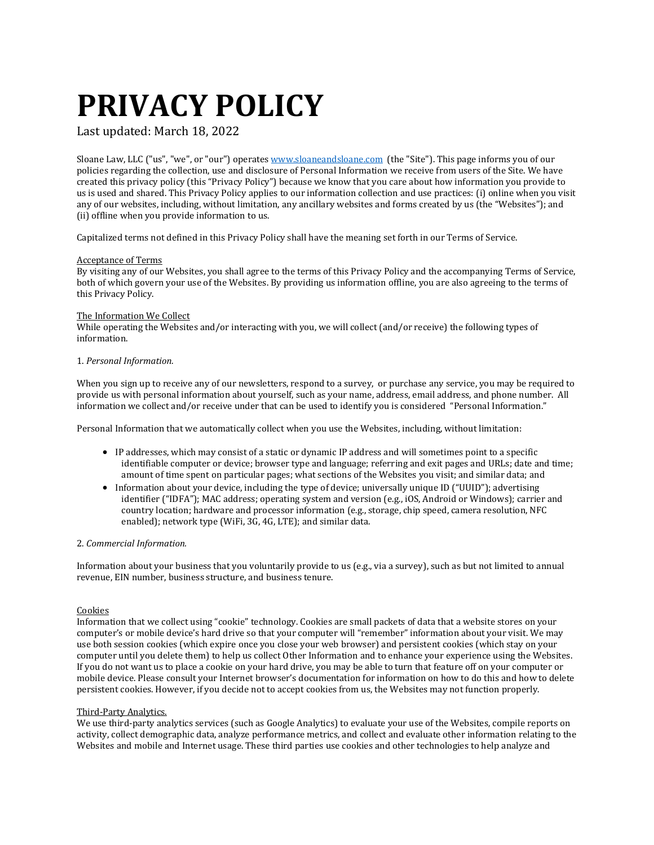# **PRIVACY POLICY**

Last updated: March 18, 2022

Sloane Law, LLC ("us", "we", or "our") operates [www.sloaneandsloane.com](http://www.sloaneandsloane.com/) (the "Site"). This page informs you of our policies regarding the collection, use and disclosure of Personal Information we receive from users of the Site. We have created this privacy policy (this "Privacy Policy") because we know that you care about how information you provide to us is used and shared. This Privacy Policy applies to our information collection and use practices: (i) online when you visit any of our websites, including, without limitation, any ancillary websites and forms created by us (the "Websites"); and (ii) offline when you provide information to us.

Capitalized terms not defined in this Privacy Policy shall have the meaning set forth in our Terms of Service.

# Acceptance of Terms

By visiting any of our Websites, you shall agree to the terms of this Privacy Policy and the accompanying Terms of Service, both of which govern your use of the Websites. By providing us information offline, you are also agreeing to the terms of this Privacy Policy.

# The Information We Collect

While operating the Websites and/or interacting with you, we will collect (and/or receive) the following types of information.

# 1. *Personal Information.*

When you sign up to receive any of our newsletters, respond to a survey, or purchase any service, you may be required to provide us with personal information about yourself, such as your name, address, email address, and phone number. All information we collect and/or receive under that can be used to identify you is considered "Personal Information."

Personal Information that we automatically collect when you use the Websites, including, without limitation:

- IP addresses, which may consist of a static or dynamic IP address and will sometimes point to a specific identifiable computer or device; browser type and language; referring and exit pages and URLs; date and time; amount of time spent on particular pages; what sections of the Websites you visit; and similar data; and
- Information about your device, including the type of device; universally unique ID ("UUID"); advertising identifier ("IDFA"); MAC address; operating system and version (e.g., iOS, Android or Windows); carrier and country location; hardware and processor information (e.g., storage, chip speed, camera resolution, NFC enabled); network type (WiFi, 3G, 4G, LTE); and similar data.

# 2. *Commercial Information.*

Information about your business that you voluntarily provide to us (e.g., via a survey), such as but not limited to annual revenue, EIN number, business structure, and business tenure.

# Cookies

Information that we collect using "cookie" technology. Cookies are small packets of data that a website stores on your computer's or mobile device's hard drive so that your computer will "remember" information about your visit. We may use both session cookies (which expire once you close your web browser) and persistent cookies (which stay on your computer until you delete them) to help us collect Other Information and to enhance your experience using the Websites. If you do not want us to place a cookie on your hard drive, you may be able to turn that feature off on your computer or mobile device. Please consult your Internet browser's documentation for information on how to do this and how to delete persistent cookies. However, if you decide not to accept cookies from us, the Websites may not function properly.

# Third-Party Analytics.

We use third-party analytics services (such as Google Analytics) to evaluate your use of the Websites, compile reports on activity, collect demographic data, analyze performance metrics, and collect and evaluate other information relating to the Websites and mobile and Internet usage. These third parties use cookies and other technologies to help analyze and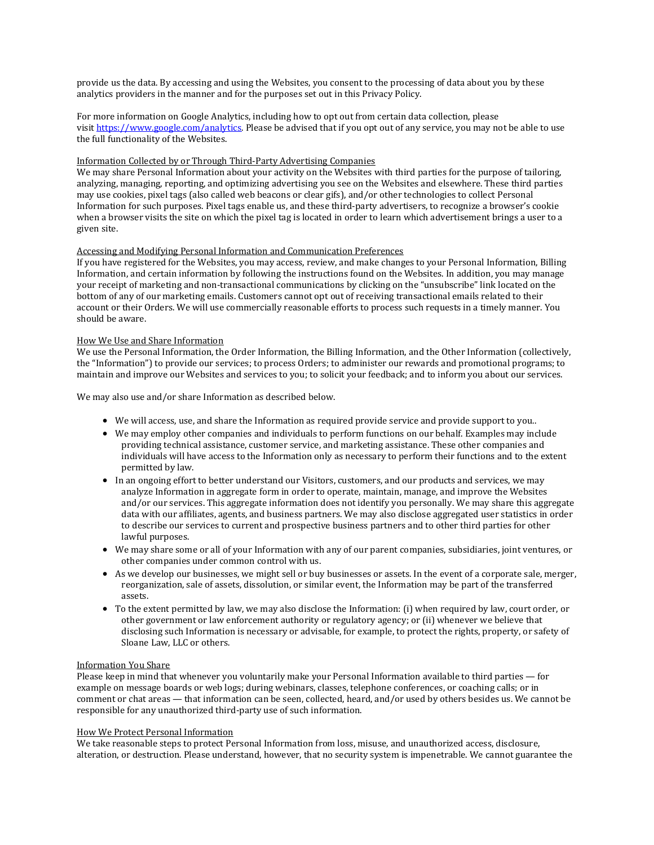provide us the data. By accessing and using the Websites, you consent to the processing of data about you by these analytics providers in the manner and for the purposes set out in this Privacy Policy.

For more information on Google Analytics, including how to opt out from certain data collection, please visit [https://www.google.com/analytics.](https://www.google.com/analytics) Please be advised that if you opt out of any service, you may not be able to use the full functionality of the Websites.

#### Information Collected by or Through Third-Party Advertising Companies

We may share Personal Information about your activity on the Websites with third parties for the purpose of tailoring, analyzing, managing, reporting, and optimizing advertising you see on the Websites and elsewhere. These third parties may use cookies, pixel tags (also called web beacons or clear gifs), and/or other technologies to collect Personal Information for such purposes. Pixel tags enable us, and these third-party advertisers, to recognize a browser's cookie when a browser visits the site on which the pixel tag is located in order to learn which advertisement brings a user to a given site.

## Accessing and Modifying Personal Information and Communication Preferences

If you have registered for the Websites, you may access, review, and make changes to your Personal Information, Billing Information, and certain information by following the instructions found on the Websites. In addition, you may manage your receipt of marketing and non-transactional communications by clicking on the "unsubscribe" link located on the bottom of any of our marketing emails. Customers cannot opt out of receiving transactional emails related to their account or their Orders. We will use commercially reasonable efforts to process such requests in a timely manner. You should be aware.

#### How We Use and Share Information

We use the Personal Information, the Order Information, the Billing Information, and the Other Information (collectively, the "Information") to provide our services; to process Orders; to administer our rewards and promotional programs; to maintain and improve our Websites and services to you; to solicit your feedback; and to inform you about our services.

We may also use and/or share Information as described below.

- We will access, use, and share the Information as required provide service and provide support to you..
- We may employ other companies and individuals to perform functions on our behalf. Examples may include providing technical assistance, customer service, and marketing assistance. These other companies and individuals will have access to the Information only as necessary to perform their functions and to the extent permitted by law.
- In an ongoing effort to better understand our Visitors, customers, and our products and services, we may analyze Information in aggregate form in order to operate, maintain, manage, and improve the Websites and/or our services. This aggregate information does not identify you personally. We may share this aggregate data with our affiliates, agents, and business partners. We may also disclose aggregated user statistics in order to describe our services to current and prospective business partners and to other third parties for other lawful purposes.
- We may share some or all of your Information with any of our parent companies, subsidiaries, joint ventures, or other companies under common control with us.
- As we develop our businesses, we might sell or buy businesses or assets. In the event of a corporate sale, merger, reorganization, sale of assets, dissolution, or similar event, the Information may be part of the transferred assets.
- To the extent permitted by law, we may also disclose the Information: (i) when required by law, court order, or other government or law enforcement authority or regulatory agency; or (ii) whenever we believe that disclosing such Information is necessary or advisable, for example, to protect the rights, property, or safety of Sloane Law, LLC or others.

#### Information You Share

Please keep in mind that whenever you voluntarily make your Personal Information available to third parties — for example on message boards or web logs; during webinars, classes, telephone conferences, or coaching calls; or in comment or chat areas — that information can be seen, collected, heard, and/or used by others besides us. We cannot be responsible for any unauthorized third-party use of such information.

#### How We Protect Personal Information

We take reasonable steps to protect Personal Information from loss, misuse, and unauthorized access, disclosure, alteration, or destruction. Please understand, however, that no security system is impenetrable. We cannot guarantee the